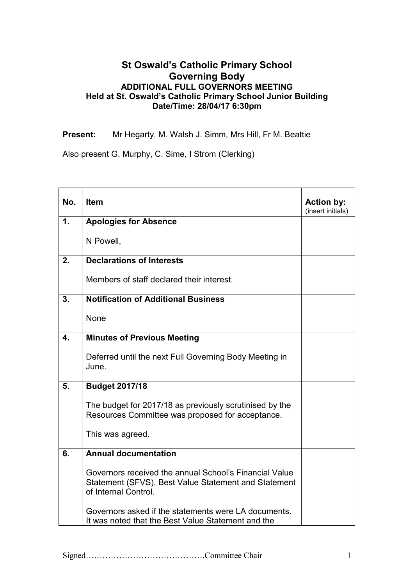## **St Oswald's Catholic Primary School Governing Body ADDITIONAL FULL GOVERNORS MEETING Held at St. Oswald's Catholic Primary School Junior Building Date/Time: 28/04/17 6:30pm**

**Present:** Mr Hegarty, M. Walsh J. Simm, Mrs Hill, Fr M. Beattie

Also present G. Murphy, C. Sime, I Strom (Clerking)

| No.           | <b>Item</b>                                                                                                                            | <b>Action by:</b><br>(insert initials) |
|---------------|----------------------------------------------------------------------------------------------------------------------------------------|----------------------------------------|
| $\mathbf 1$ . | <b>Apologies for Absence</b>                                                                                                           |                                        |
|               | N Powell,                                                                                                                              |                                        |
| 2.            | <b>Declarations of Interests</b>                                                                                                       |                                        |
|               | Members of staff declared their interest.                                                                                              |                                        |
| 3.            | <b>Notification of Additional Business</b>                                                                                             |                                        |
|               | None                                                                                                                                   |                                        |
| 4.            | <b>Minutes of Previous Meeting</b>                                                                                                     |                                        |
|               | Deferred until the next Full Governing Body Meeting in<br>June.                                                                        |                                        |
| 5.            | <b>Budget 2017/18</b>                                                                                                                  |                                        |
|               | The budget for 2017/18 as previously scrutinised by the<br>Resources Committee was proposed for acceptance.                            |                                        |
|               | This was agreed.                                                                                                                       |                                        |
| 6.            | <b>Annual documentation</b>                                                                                                            |                                        |
|               | Governors received the annual School's Financial Value<br>Statement (SFVS), Best Value Statement and Statement<br>of Internal Control. |                                        |
|               | Governors asked if the statements were LA documents.<br>It was noted that the Best Value Statement and the                             |                                        |